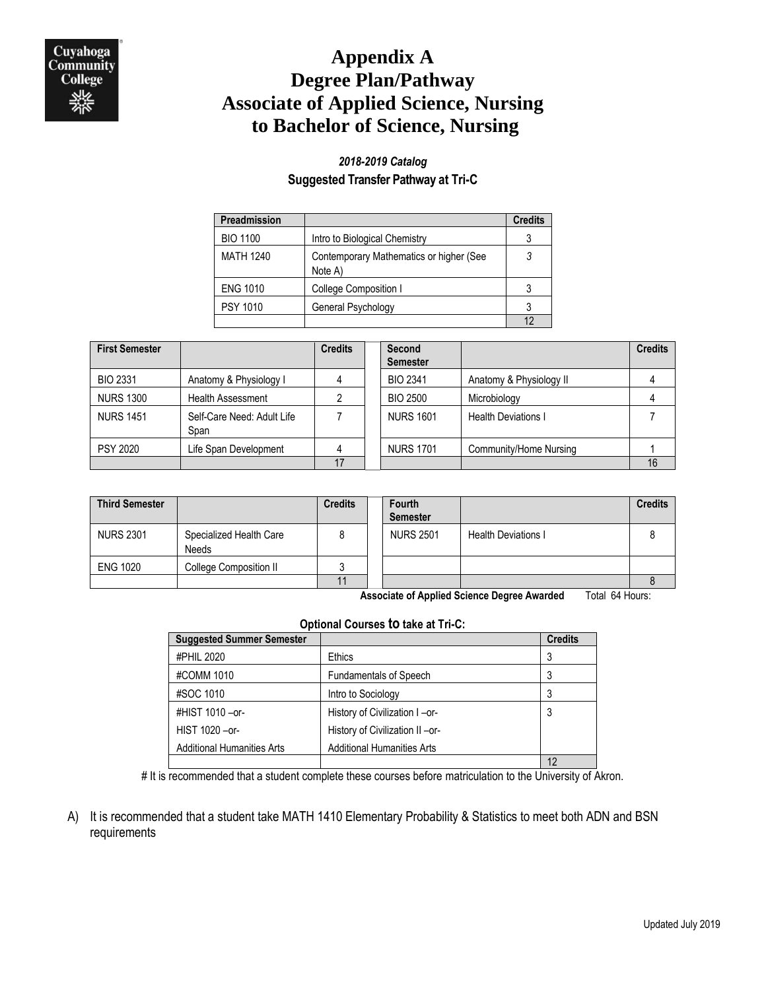# **Appendix A Degree Plan/Pathway Associate of Applied Science, Nursing to Bachelor of Science, Nursing**

## *2018-2019 Catalog* **Suggested Transfer Pathway at Tri-C**

| Preadmission     |                                                    | <b>Credits</b> |
|------------------|----------------------------------------------------|----------------|
| <b>BIO 1100</b>  | Intro to Biological Chemistry                      |                |
| <b>MATH 1240</b> | Contemporary Mathematics or higher (See<br>Note A) |                |
| <b>ENG 1010</b>  | College Composition I                              |                |
| <b>PSY 1010</b>  | General Psychology                                 |                |
|                  |                                                    | 19             |

| <b>First Semester</b> |                                    | <b>Credits</b> | Second<br><b>Semester</b> |                            | <b>Credits</b> |
|-----------------------|------------------------------------|----------------|---------------------------|----------------------------|----------------|
| <b>BIO 2331</b>       | Anatomy & Physiology I             |                | <b>BIO 2341</b>           | Anatomy & Physiology II    |                |
| <b>NURS 1300</b>      | <b>Health Assessment</b>           |                | <b>BIO 2500</b>           | Microbiology               |                |
| <b>NURS 1451</b>      | Self-Care Need: Adult Life<br>Span |                | <b>NURS 1601</b>          | <b>Health Deviations I</b> |                |
| <b>PSY 2020</b>       | Life Span Development              |                | <b>NURS 1701</b>          | Community/Home Nursing     |                |
|                       |                                    | 17             |                           |                            | 16             |

| <b>Third Semester</b> |                                  | <b>Credits</b> | Fourth<br><b>Semester</b> |                            | <b>Credits</b> |
|-----------------------|----------------------------------|----------------|---------------------------|----------------------------|----------------|
| <b>NURS 2301</b>      | Specialized Health Care<br>Needs | 8              | <b>NURS 2501</b>          | <b>Health Deviations I</b> |                |
| <b>ENG 1020</b>       | College Composition II           |                |                           |                            |                |
|                       |                                  |                |                           |                            |                |

**Associate of Applied Science Degree Awarded** Total 64 Hours:

#### **Optional Courses to take at Tri-C:**

| <b>Suggested Summer Semester</b>  |                                   | <b>Credits</b> |
|-----------------------------------|-----------------------------------|----------------|
| #PHIL 2020                        | Ethics                            |                |
| #COMM 1010                        | <b>Fundamentals of Speech</b>     |                |
| #SOC 1010                         | Intro to Sociology                |                |
| #HIST 1010 - or-                  | History of Civilization I-or-     | 3              |
| HIST 1020 - or-                   | History of Civilization II-or-    |                |
| <b>Additional Humanities Arts</b> | <b>Additional Humanities Arts</b> |                |
|                                   |                                   | 12             |

# It is recommended that a student complete these courses before matriculation to the University of Akron.

A) It is recommended that a student take MATH 1410 Elementary Probability & Statistics to meet both ADN and BSN requirements